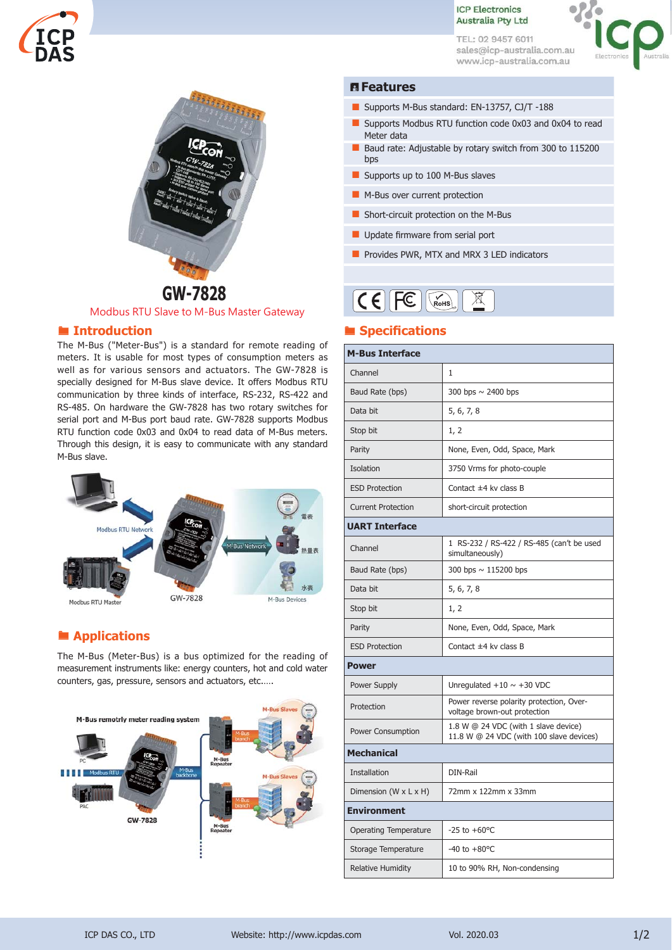

TEL: 02 9457 6011 sales@icp-australia.com.au www.icp-australia.com.au



### **Features**

- Supports M-Bus standard: EN-13757, CJ/T -188
- Supports Modbus RTU function code 0x03 and 0x04 to read Meter data
- Baud rate: Adjustable by rotary switch from 300 to 115200 bps
- Supports up to 100 M-Bus slaves
- M-Bus over current protection
- Short-circuit protection on the M-Bus
- $\blacksquare$  Update firmware from serial port
- **Part Provides PWR, MTX and MRX 3 LED indicators**

#### $CFFE$ ROHS ⊠

### **Specifications**

| <b>M-Bus Interface</b>              |                                                                                  |
|-------------------------------------|----------------------------------------------------------------------------------|
| Channel                             | $\mathbf{1}$                                                                     |
| Baud Rate (bps)                     | 300 bps $\sim$ 2400 bps                                                          |
| Data bit                            | 5, 6, 7, 8                                                                       |
| Stop bit                            | 1, 2                                                                             |
| Parity                              | None, Even, Odd, Space, Mark                                                     |
| Isolation                           | 3750 Vrms for photo-couple                                                       |
| <b>ESD Protection</b>               | Contact $\pm 4$ kv class B                                                       |
| <b>Current Protection</b>           | short-circuit protection                                                         |
| <b>UART Interface</b>               |                                                                                  |
| Channel                             | 1 RS-232 / RS-422 / RS-485 (can't be used<br>simultaneously)                     |
| Baud Rate (bps)                     | 300 bps $\sim$ 115200 bps                                                        |
| Data bit                            | 5, 6, 7, 8                                                                       |
| Stop bit                            | 1, 2                                                                             |
| Parity                              | None, Even, Odd, Space, Mark                                                     |
| <b>ESD Protection</b>               | Contact $\pm 4$ ky class B                                                       |
| Power                               |                                                                                  |
| Power Supply                        | Unregulated $+10 \sim +30$ VDC                                                   |
| Protection                          | Power reverse polarity protection, Over-<br>voltage brown-out protection         |
| Power Consumption                   | 1.8 W @ 24 VDC (with 1 slave device)<br>11.8 W @ 24 VDC (with 100 slave devices) |
| <b>Mechanical</b>                   |                                                                                  |
| <b>Installation</b>                 | DIN-Rail                                                                         |
| Dimension (W $\times$ L $\times$ H) | 72mm x 122mm x 33mm                                                              |
| Environment                         |                                                                                  |
| <b>Operating Temperature</b>        | $-25$ to $+60^{\circ}$ C                                                         |
| Storage Temperature                 | $-40$ to $+80$ °C                                                                |
| <b>Relative Humidity</b>            | 10 to 90% RH, Non-condensing                                                     |



Modbus RTU Slave to M-Bus Master Gateway

### **Introduction**

The M-Bus ("Meter-Bus") is a standard for remote reading of meters. It is usable for most types of consumption meters as well as for various sensors and actuators. The GW-7828 is specially designed for M-Bus slave device. It offers Modbus RTU communication by three kinds of interface, RS-232, RS-422 and RS-485. On hardware the GW-7828 has two rotary switches for serial port and M-Bus port baud rate. GW-7828 supports Modbus RTU function code 0x03 and 0x04 to read data of M-Bus meters. Through this design, it is easy to communicate with any standard M-Bus slave.



# **■ Applications**

The M-Bus (Meter‐Bus) is a bus optimized for the reading of measurement instruments like: energy counters, hot and cold water counters, gas, pressure, sensors and actuators, etc.….